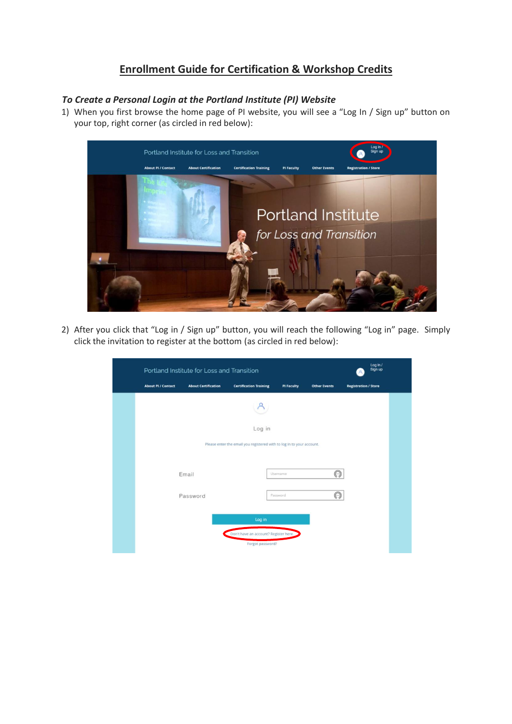## **Enrollment Guide for Certification & Workshop Credits**

## *To Create a Personal Login at the Portland Institute (PI) Website*

1) When you first browse the home page of PI website, you will see a "Log In / Sign up" button on your top, right corner (as circled in red below):



2) After you click that "Log in / Sign up" button, you will reach the following "Log in" page. Simply click the invitation to register at the bottom (as circled in red below):

| Log in /<br>Portland Institute for Loss and Transition<br>Sign up     |                            |                                                           |                   |                     |                             |  |  |
|-----------------------------------------------------------------------|----------------------------|-----------------------------------------------------------|-------------------|---------------------|-----------------------------|--|--|
| <b>About PI / Contact</b>                                             | <b>About Certification</b> | <b>Certification Training</b>                             | <b>PI Faculty</b> | <b>Other Events</b> | <b>Registration / Store</b> |  |  |
|                                                                       |                            |                                                           |                   |                     |                             |  |  |
|                                                                       |                            | Log in                                                    |                   |                     |                             |  |  |
| Please enter the email you registered with to log in to your account. |                            |                                                           |                   |                     |                             |  |  |
|                                                                       |                            |                                                           |                   |                     |                             |  |  |
|                                                                       | Email                      |                                                           | Username          | $\circledcirc$      |                             |  |  |
|                                                                       | Password                   |                                                           | Password          | ⊚                   |                             |  |  |
|                                                                       |                            | Log in                                                    |                   |                     |                             |  |  |
|                                                                       |                            | Don't have an account? Register here.<br>Forgot password? |                   |                     |                             |  |  |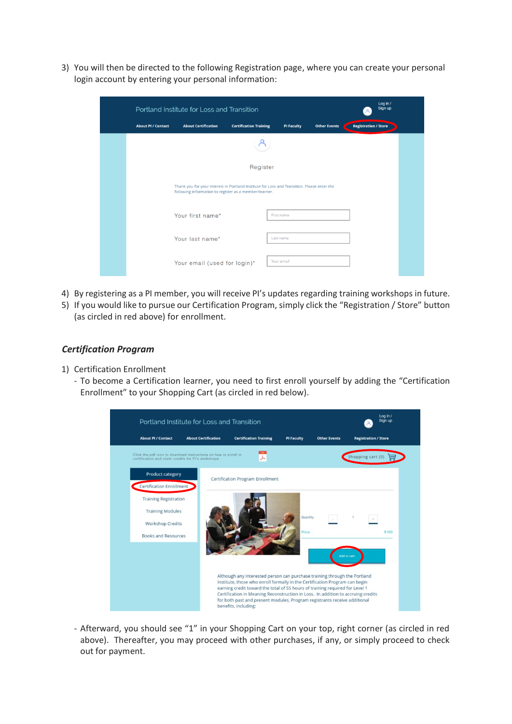3) You will then be directed to the following Registration page, where you can create your personal login account by entering your personal information:

|                           | Portland Institute for Loss and Transition                                                                                                            |                               |                   |                     |                             |  |  |
|---------------------------|-------------------------------------------------------------------------------------------------------------------------------------------------------|-------------------------------|-------------------|---------------------|-----------------------------|--|--|
| <b>About PI / Contact</b> | <b>About Certification</b>                                                                                                                            | <b>Certification Training</b> | <b>PI Faculty</b> | <b>Other Events</b> | <b>Registration / Store</b> |  |  |
|                           |                                                                                                                                                       |                               |                   |                     |                             |  |  |
|                           |                                                                                                                                                       | Register                      |                   |                     |                             |  |  |
|                           | Thank you for your interest in Portland Institute for Loss and Transition. Please enter the<br>following information to register as a member/learner. |                               |                   |                     |                             |  |  |
|                           | Your first name*                                                                                                                                      |                               | First name        |                     |                             |  |  |
|                           | Your last name*                                                                                                                                       |                               | Last name         |                     |                             |  |  |
|                           | Your email (used for login)*                                                                                                                          |                               | Your email        |                     |                             |  |  |

- 4) By registering as a PI member, you will receive PI's updates regarding training workshops in future.
- 5) If you would like to pursue our Certification Program, simply click the "Registration / Store" button (as circled in red above) for enrollment.

## *Certification Program*

- 1) Certification Enrollment
	- To become a Certification learner, you need to first enroll yourself by adding the "Certification Enrollment" to your Shopping Cart (as circled in red below).



- Afterward, you should see "1" in your Shopping Cart on your top, right corner (as circled in red above). Thereafter, you may proceed with other purchases, if any, or simply proceed to check out for payment.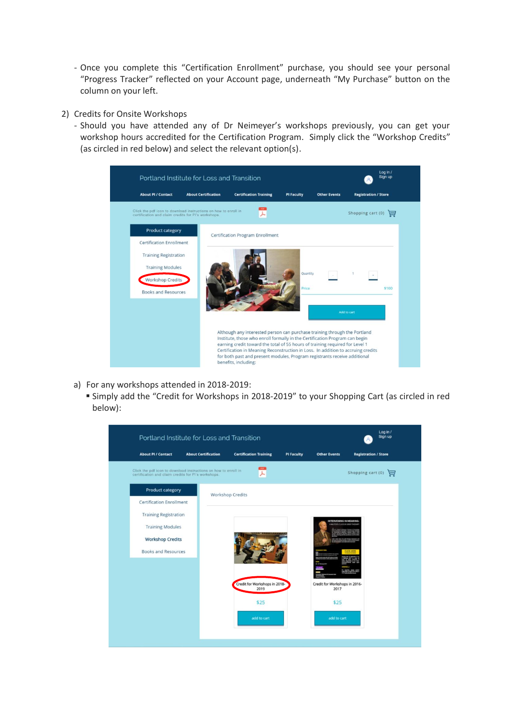- Once you complete this "Certification Enrollment" purchase, you should see your personal "Progress Tracker" reflected on your Account page, underneath "My Purchase" button on the column on your left.
- 2) Credits for Onsite Workshops
	- Should you have attended any of Dr Neimeyer's workshops previously, you can get your workshop hours accredited for the Certification Program. Simply click the "Workshop Credits" (as circled in red below) and select the relevant option(s).



- a) For any workshops attended in 2018-2019:
	- Simply add the "Credit for Workshops in 2018-2019" to your Shopping Cart (as circled in red below):

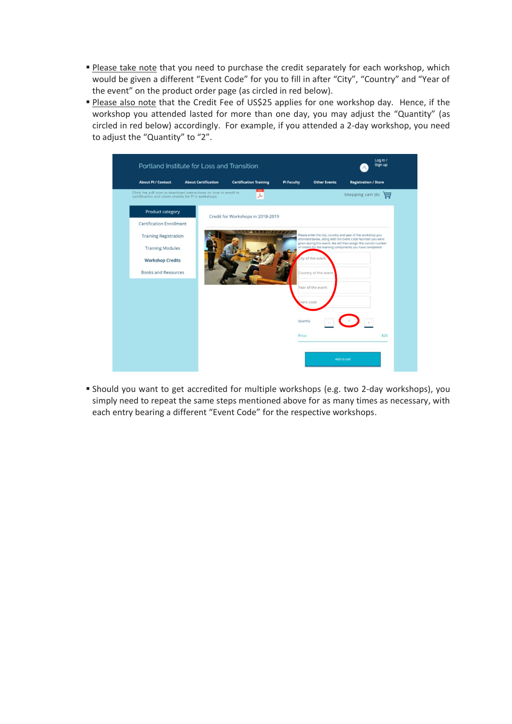- **Please take note that you need to purchase the credit separately for each workshop, which** would be given a different "Event Code" for you to fill in after "City", "Country" and "Year of the event" on the product order page (as circled in red below).
- **Please also note that the Credit Fee of US\$25 applies for one workshop day. Hence, if the** workshop you attended lasted for more than one day, you may adjust the "Quantity" (as circled in red below) accordingly. For example, if you attended a 2-day workshop, you need to adjust the "Quantity" to "2".



▪ Should you want to get accredited for multiple workshops (e.g. two 2-day workshops), you simply need to repeat the same steps mentioned above for as many times as necessary, with each entry bearing a different "Event Code" for the respective workshops.